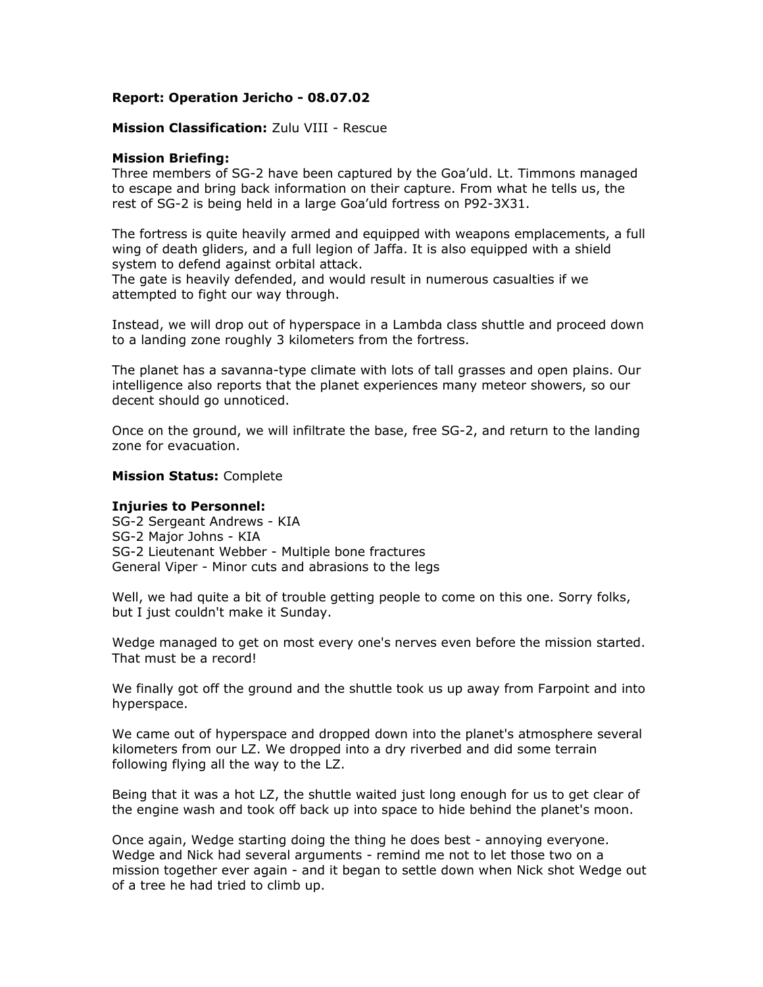# **Report: Operation Jericho - 08.07.02**

# **Mission Classification:** Zulu VIII - Rescue

# **Mission Briefing:**

Three members of SG-2 have been captured by the Goa'uld. Lt. Timmons managed to escape and bring back information on their capture. From what he tells us, the rest of SG-2 is being held in a large Goa'uld fortress on P92-3X31.

The fortress is quite heavily armed and equipped with weapons emplacements, a full wing of death gliders, and a full legion of Jaffa. It is also equipped with a shield system to defend against orbital attack.

The gate is heavily defended, and would result in numerous casualties if we attempted to fight our way through.

Instead, we will drop out of hyperspace in a Lambda class shuttle and proceed down to a landing zone roughly 3 kilometers from the fortress.

The planet has a savanna-type climate with lots of tall grasses and open plains. Our intelligence also reports that the planet experiences many meteor showers, so our decent should go unnoticed.

Once on the ground, we will infiltrate the base, free SG-2, and return to the landing zone for evacuation.

# **Mission Status:** Complete

# **Injuries to Personnel:**

SG-2 Sergeant Andrews - KIA SG-2 Major Johns - KIA SG-2 Lieutenant Webber - Multiple bone fractures General Viper - Minor cuts and abrasions to the legs

Well, we had quite a bit of trouble getting people to come on this one. Sorry folks, but I just couldn't make it Sunday.

Wedge managed to get on most every one's nerves even before the mission started. That must be a record!

We finally got off the ground and the shuttle took us up away from Farpoint and into hyperspace.

We came out of hyperspace and dropped down into the planet's atmosphere several kilometers from our LZ. We dropped into a dry riverbed and did some terrain following flying all the way to the LZ.

Being that it was a hot LZ, the shuttle waited just long enough for us to get clear of the engine wash and took off back up into space to hide behind the planet's moon.

Once again, Wedge starting doing the thing he does best - annoying everyone. Wedge and Nick had several arguments - remind me not to let those two on a mission together ever again - and it began to settle down when Nick shot Wedge out of a tree he had tried to climb up.